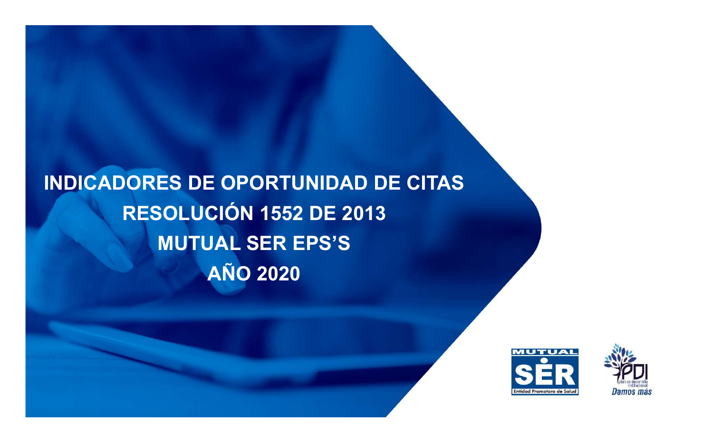INDICADORES DE OPORTUNIDAD DE CITAS RESOLUCIÓN 1552 DE 2013 MUTUAL SER EPS'S AÑO 2020



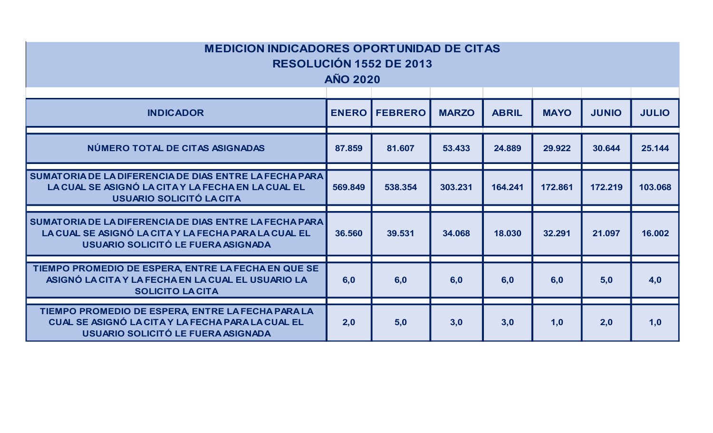| <b>MEDICION INDICADORES OPORTUNIDAD DE CITAS</b>                                                                                                     | <b>AÑO 2020</b> | <b>RESOLUCIÓN 1552 DE 2013</b> |              |              |             |              |              |
|------------------------------------------------------------------------------------------------------------------------------------------------------|-----------------|--------------------------------|--------------|--------------|-------------|--------------|--------------|
| <b>INDICADOR</b>                                                                                                                                     |                 | <b>ENERO   FEBRERO</b>         | <b>MARZO</b> | <b>ABRIL</b> | <b>MAYO</b> | <b>JUNIO</b> | <b>JULIO</b> |
| NÚMERO TOTAL DE CITAS ASIGNADAS                                                                                                                      | 87.859          | 81.607                         | 53.433       | 24.889       | 29.922      | 30.644       | 25.144       |
| SUMATORIA DE LA DIFERENCIA DE DIAS ENTRE LA FECHA PARA<br>LA CUAL SE ASIGNÓ LA CITA Y LA FECHA EN LA CUAL EL<br><b>USUARIO SOLICITÓ LA CITA</b>      | 569.849         | 538.354                        | 303.231      | 164.241      | 172.861     | 172.219      | 103.068      |
| SUMATORIA DE LA DIFERENCIA DE DIAS ENTRE LA FECHA PARA<br>LA CUAL SE ASIGNÓ LA CITA Y LA FECHA PARA LA CUAL EL<br>USUARIO SOLICITÓ LE FUERA ASIGNADA | 36.560          | 39.531                         | 34.068       | 18.030       | 32.291      | 21.097       | 16.002       |
| TIEMPO PROMEDIO DE ESPERA, ENTRE LA FECHA EN QUE SE<br>ASIGNÓ LA CITA Y LA FECHA EN LA CUAL EL USUARIO LA<br><b>SOLICITO LACITA</b>                  | 6,0             | 6,0                            | 6,0          | 6,0          | 6,0         | 5,0          | 4,0          |
| TIEMPO PROMEDIO DE ESPERA, ENTRE LA FECHA PARA LA<br>CUAL SE ASIGNÓ LA CITA Y LA FECHA PARA LA CUAL EL<br>USUARIO SOLICITÓ LE FUERA ASIGNADA         | 2,0             | 5,0                            | 3,0          | 3,0          | 1,0         | 2,0          | 1,0          |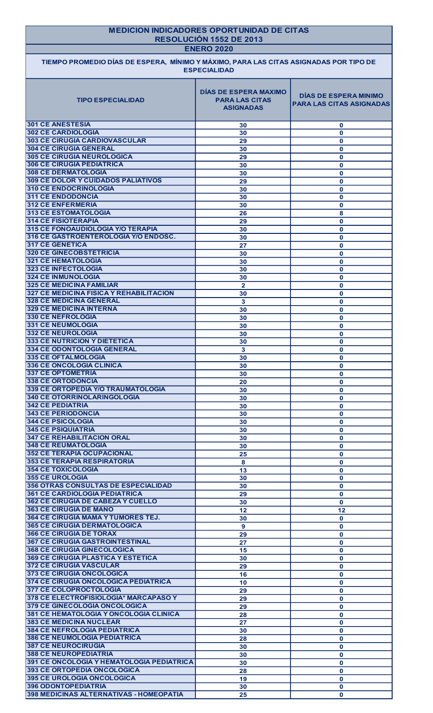| <b>MEDICION INDICADORES OPORTUNIDAD DE CITAS</b><br>RESOLUCIÓN 1552 DE 2013<br><b>ENERO 2020</b> |                                                                           |                                                                 |  |
|--------------------------------------------------------------------------------------------------|---------------------------------------------------------------------------|-----------------------------------------------------------------|--|
| TIEMPO PROMEDIO DÍAS DE ESPERA, MÍNIMO Y MÁXIMO, PARA LAS CITAS ASIGNADAS POR TIPO DE            | <b>ESPECIALIDAD</b>                                                       |                                                                 |  |
| <b>TIPO ESPECIALIDAD</b>                                                                         | <b>DÍAS DE ESPERA MAXIMO</b><br><b>PARA LAS CITAS</b><br><b>ASIGNADAS</b> | <b>DÍAS DE ESPERA MINIMO</b><br><b>PARA LAS CITAS ASIGNADAS</b> |  |
| <b>301 CE ANESTESIA</b>                                                                          | 30                                                                        | $\mathbf 0$                                                     |  |
| <b>302 CE CARDIOLOGIA</b><br><b>303 CE CIRUGIA CARDIOVASCULAR</b>                                | 30<br>29                                                                  | $\mathbf{0}$                                                    |  |
| <b>304 CE CIRUGIA GENERAL</b>                                                                    | 30                                                                        | $\mathbf 0$<br>$\mathbf 0$                                      |  |
| <b>305 CE CIRUGIA NEUROLOGICA</b>                                                                | 29                                                                        | $\mathbf 0$                                                     |  |
| <b>306 CE CIRUGIA PEDIATRICA</b><br><b>308 CE DERMATOLOGIA</b>                                   | 30                                                                        | $\mathbf 0$                                                     |  |
| <b>309 CE DOLOR Y CUIDADOS PALIATIVOS</b>                                                        | 30<br>29                                                                  | $\mathbf 0$<br>$\mathbf{0}$                                     |  |
| <b>310 CE ENDOCRINOLOGIA</b>                                                                     | 30                                                                        | $\mathbf{0}$                                                    |  |
| <b>311 CE ENDODONCIA</b>                                                                         | 30                                                                        | $\mathbf{0}$                                                    |  |
| <b>312 CE ENFERMERIA</b><br><b>313 CE ESTOMATOLOGIA</b>                                          | 30<br>26                                                                  | $\mathbf{0}$<br>8                                               |  |
| <b>314 CE FISIOTERAPIA</b>                                                                       | 29                                                                        | $\mathbf 0$                                                     |  |
| 315 CE FONOAUDIOLOGIA Y/O TERAPIA                                                                | 30                                                                        | $\mathbf{0}$                                                    |  |
| 316 CE GASTROENTEROLOGIA Y/O ENDOSC.                                                             | 30                                                                        | $\mathbf{0}$                                                    |  |
| <b>317 CE GENETICA</b><br><b>320 CE GINECOBSTETRICIA</b>                                         | 27<br>30                                                                  | $\mathbf 0$<br>$\mathbf{0}$                                     |  |
| 321 CE HEMATOLOGIA                                                                               | 30                                                                        | $\mathbf 0$                                                     |  |
| <b>323 CE INFECTOLOGIA</b>                                                                       | 30                                                                        | $\mathbf{0}$                                                    |  |
| <b>324 CE INMUNOLOGIA</b><br><b>325 CE MEDICINA FAMILIAR</b>                                     | 30                                                                        | $\mathbf{0}$                                                    |  |
| 327 CE MEDICINA FISICA Y REHABILITACION                                                          | $\mathbf{2}$<br>30                                                        | $\mathbf{0}$<br>$\mathbf 0$                                     |  |
| <b>328 CE MEDICINA GENERAL</b>                                                                   | 3                                                                         | $\mathbf 0$                                                     |  |
| <b>329 CE MEDICINA INTERNA</b>                                                                   | 30                                                                        | $\mathbf 0$                                                     |  |
| 330 CE NEFROLOGIA<br><b>331 CE NEUMOLOGIA</b>                                                    | 30<br>30                                                                  | $\mathbf{0}$<br>$\mathbf 0$                                     |  |
| 332 CE NEUROLOGIA                                                                                | 30                                                                        | $\mathbf{0}$                                                    |  |
| <b>333 CE NUTRICION Y DIETETICA</b>                                                              | 30                                                                        | $\mathbf{0}$                                                    |  |
| <b>334 CE ODONTOLOGIA GENERAL</b><br>335 CE OFTALMOLOGIA                                         | 3                                                                         | $\mathbf{0}$                                                    |  |
| <b>336 CE ONCOLOGIA CLINICA</b>                                                                  | 30<br>30                                                                  | $\mathbf{0}$<br>$\mathbf 0$                                     |  |
| <b>337 CE OPTOMETRIA</b>                                                                         | 30                                                                        | $\mathbf{0}$                                                    |  |
| <b>338 CE ORTODONCIA</b>                                                                         | 20                                                                        | $\mathbf 0$                                                     |  |
| 339 CE ORTOPEDIA Y/O TRAUMATOLOGIA<br><b>340 CE OTORRINOLARINGOLOGIA</b>                         | 30<br>30                                                                  | $\mathbf 0$<br>$\mathbf 0$                                      |  |
| <b>342 CE PEDIATRIA</b>                                                                          | 30                                                                        | $\mathbf 0$                                                     |  |
| <b>343 CE PERIODONCIA</b>                                                                        | 30                                                                        | $\mathbf 0$                                                     |  |
| <b>344 CE PSICOLOGIA</b><br><b>345 CE PSIQUIATRIA</b>                                            | 30                                                                        | $\mathbf{0}$                                                    |  |
| <b>347 CE REHABILITACION ORAL</b>                                                                | 30<br>30                                                                  | $\mathbf{0}$<br>$\mathbf 0$                                     |  |
| <b>348 CE REUMATOLOGIA</b>                                                                       | 30                                                                        | $\mathbf{0}$                                                    |  |
| <b>352 CE TERAPIA OCUPACIONAL</b>                                                                | 25                                                                        | $\mathbf 0$                                                     |  |
| <b>353 CE TERAPIA RESPIRATORIA</b><br>354 CE TOXICOLOGIA                                         | 8<br>13                                                                   | $\mathbf 0$                                                     |  |
| 355 CE UROLOGIA                                                                                  | 30                                                                        | $\mathbf 0$<br>$\mathbf 0$                                      |  |
| <b>356 OTRAS CONSULTAS DE ESPECIALIDAD</b>                                                       | 30                                                                        | $\mathbf{0}$                                                    |  |
| <b>361 CE CARDIOLOGIA PEDIATRICA</b>                                                             | 29                                                                        | $\mathbf{0}$                                                    |  |
| <b>362 CE CIRUGIA DE CABEZA Y CUELLO</b><br><b>363 CE CIRUGIA DE MANO</b>                        | 30<br>12                                                                  | $\mathbf{0}$<br>12                                              |  |
| <b>364 CE CIRUGIA MAMA Y TUMORES TEJ.</b>                                                        | 30                                                                        | $\mathbf{0}$                                                    |  |
| <b>365 CE CIRUGIA DERMATOLOGICA</b>                                                              | 9                                                                         | $\mathbf 0$                                                     |  |
| <b>366 CE CIRUGIA DE TORAX</b><br><b>367 CE CIRUGIA GASTROINTESTINAL</b>                         | 29                                                                        | $\mathbf 0$                                                     |  |
| <b>368 CE CIRUGIA GINECOLOGICA</b>                                                               | 27<br>15                                                                  | $\mathbf 0$<br>$\mathbf 0$                                      |  |
| <b>369 CE CIRUGIA PLASTICA Y ESTETICA</b>                                                        | 30                                                                        | $\mathbf{0}$                                                    |  |
| <b>372 CE CIRUGIA VASCULAR</b>                                                                   | 29                                                                        | $\mathbf{0}$                                                    |  |
| 373 CE CIRUGIA ONCOLOGICA<br>374 CE CIRUGIA ONCOLOGICA PEDIATRICA                                | 16                                                                        | $\mathbf 0$                                                     |  |
| <b>377 CE COLOPROCTOLOGIA</b>                                                                    | 10<br>29                                                                  | $\mathbf 0$<br>$\mathbf{0}$                                     |  |
| 378 CE ELECTROFISIOLOGIA* MARCAPASO Y                                                            | 29                                                                        | $\mathbf 0$                                                     |  |
| <b>379 CE GINECOLOGIA ONCOLOGICA</b>                                                             | 29                                                                        | $\mathbf 0$                                                     |  |
| 381 CE HEMATOLOGIA Y ONCOLOGIA CLINICA<br><b>383 CE MEDICINA NUCLEAR</b>                         | 28<br>$\overline{27}$                                                     | $\mathbf 0$<br>$\mathbf{0}$                                     |  |
| <b>384 CE NEFROLOGIA PEDIATRICA</b>                                                              | 30                                                                        | $\mathbf{0}$                                                    |  |
| <b>386 CE NEUMOLOGIA PEDIATRICA</b>                                                              | 28                                                                        | $\mathbf 0$                                                     |  |
| <b>387 CE NEUROCIRUGIA</b>                                                                       | 30                                                                        | $\mathbf 0$                                                     |  |
| <b>388 CE NEUROPEDIATRIA</b><br>391 CE ONCOLOGIA Y HEMATOLOGIA PEDIATRICA                        | 30<br>30                                                                  | $\mathbf 0$<br>$\mathbf 0$                                      |  |
| 393 CE ORTOPEDIA ONCOLOGICA                                                                      | 28                                                                        | $\mathbf 0$                                                     |  |
| 395 CE UROLOGIA ONCOLOGICA                                                                       | 19                                                                        | $\mathbf 0$                                                     |  |
| <b>396 ODONTOPEDIATRIA</b>                                                                       | 30                                                                        | $\mathbf{0}$                                                    |  |
| 398 MEDICINAS ALTERNATIVAS - HOMEOPATIA                                                          | 25                                                                        | $\mathbf{0}$                                                    |  |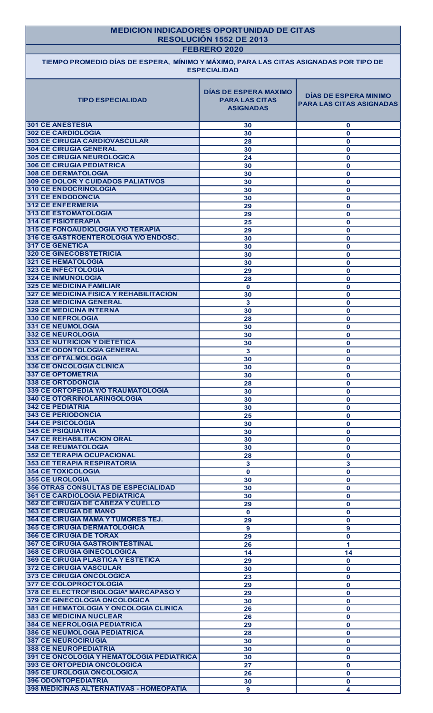|                                                                                       | <b>MEDICION INDICADORES OPORTUNIDAD DE CITAS</b><br>RESOLUCIÓN 1552 DE 2013<br>FEBRERO 2020 |                                                                 |  |  |
|---------------------------------------------------------------------------------------|---------------------------------------------------------------------------------------------|-----------------------------------------------------------------|--|--|
| TIEMPO PROMEDIO DÍAS DE ESPERA, MÍNIMO Y MÁXIMO, PARA LAS CITAS ASIGNADAS POR TIPO DE | <b>ESPECIALIDAD</b>                                                                         |                                                                 |  |  |
| <b>TIPO ESPECIALIDAD</b>                                                              | <b>DÍAS DE ESPERA MAXIMO</b><br><b>PARA LAS CITAS</b><br><b>ASIGNADAS</b>                   | <b>DÍAS DE ESPERA MINIMO</b><br><b>PARA LAS CITAS ASIGNADAS</b> |  |  |
| <b>301 CE ANESTESIA</b><br><b>302 CE CARDIOLOGIA</b>                                  | 30                                                                                          | $\mathbf 0$                                                     |  |  |
| <b>303 CE CIRUGIA CARDIOVASCULAR</b>                                                  | 30<br>28                                                                                    | $\mathbf{0}$<br>$\mathbf{0}$                                    |  |  |
| <b>304 CE CIRUGIA GENERAL</b>                                                         | 30                                                                                          | $\mathbf{0}$                                                    |  |  |
| <b>305 CE CIRUGIA NEUROLOGICA</b>                                                     | 24                                                                                          | $\mathbf{0}$                                                    |  |  |
| <b>306 CE CIRUGIA PEDIATRICA</b>                                                      | 30                                                                                          | $\mathbf{0}$                                                    |  |  |
| <b>308 CE DERMATOLOGIA</b><br><b>309 CE DOLOR Y CUIDADOS PALIATIVOS</b>               | 30                                                                                          | $\mathbf{0}$                                                    |  |  |
| <b>310 CE ENDOCRINOLOGIA</b>                                                          | 30<br>30                                                                                    | $\mathbf{0}$<br>$\mathbf{0}$                                    |  |  |
| <b>311 CE ENDODONCIA</b>                                                              | 30                                                                                          | $\mathbf{0}$                                                    |  |  |
| <b>312 CE ENFERMERIA</b>                                                              | 29                                                                                          | $\mathbf{0}$                                                    |  |  |
| <b>313 CE ESTOMATOLOGIA</b>                                                           | 29                                                                                          | $\mathbf{0}$                                                    |  |  |
| <b>314 CE FISIOTERAPIA</b>                                                            | 25                                                                                          | $\mathbf 0$                                                     |  |  |
| 315 CE FONOAUDIOLOGIA Y/O TERAPIA<br>316 CE GASTROENTEROLOGIA Y/O ENDOSC.             | 29<br>30                                                                                    | $\mathbf{0}$                                                    |  |  |
| <b>317 CE GENETICA</b>                                                                | 30                                                                                          | $\mathbf 0$<br>$\mathbf{0}$                                     |  |  |
| <b>320 CE GINECOBSTETRICIA</b>                                                        | 30                                                                                          | $\mathbf{0}$                                                    |  |  |
| <b>321 CE HEMATOLOGIA</b>                                                             | 30                                                                                          | $\mathbf{0}$                                                    |  |  |
| 323 CE INFECTOLOGIA                                                                   | 29                                                                                          | $\mathbf{0}$                                                    |  |  |
| <b>324 CE INMUNOLOGIA</b><br><b>325 CE MEDICINA FAMILIAR</b>                          | 28                                                                                          | $\mathbf 0$                                                     |  |  |
| <b>327 CE MEDICINA FISICA Y REHABILITACION</b>                                        | $\mathbf 0$<br>30                                                                           | $\mathbf{0}$<br>$\mathbf{0}$                                    |  |  |
| <b>328 CE MEDICINA GENERAL</b>                                                        | 3                                                                                           | $\mathbf 0$                                                     |  |  |
| <b>329 CE MEDICINA INTERNA</b>                                                        | 30                                                                                          | $\mathbf{0}$                                                    |  |  |
| <b>330 CE NEFROLOGIA</b>                                                              | 28                                                                                          | $\mathbf 0$                                                     |  |  |
| <b>331 CE NEUMOLOGIA</b>                                                              | 30                                                                                          | $\mathbf{0}$                                                    |  |  |
| <b>332 CE NEUROLOGIA</b><br><b>333 CE NUTRICION Y DIETETICA</b>                       | 30                                                                                          | $\mathbf{0}$                                                    |  |  |
| 334 CE ODONTOLOGIA GENERAL                                                            | 30<br>3                                                                                     | $\mathbf{0}$<br>$\mathbf{0}$                                    |  |  |
| <b>335 CE OFTALMOLOGIA</b>                                                            | 30                                                                                          | $\mathbf{0}$                                                    |  |  |
| <b>336 CE ONCOLOGIA CLINICA</b>                                                       | 30                                                                                          | $\mathbf{0}$                                                    |  |  |
| <b>337 CE OPTOMETRIA</b>                                                              | 30                                                                                          | $\mathbf{0}$                                                    |  |  |
| <b>338 CE ORTODONCIA</b>                                                              | 28                                                                                          | $\mathbf{0}$                                                    |  |  |
| 339 CE ORTOPEDIA Y/O TRAUMATOLOGIA                                                    | 30                                                                                          | $\mathbf 0$                                                     |  |  |
| 340 CE OTORRINOLARINGOLOGIA<br><b>342 CE PEDIATRIA</b>                                | 30                                                                                          | $\mathbf 0$                                                     |  |  |
| <b>343 CE PERIODONCIA</b>                                                             | 30<br>25                                                                                    | $\mathbf 0$<br>$\mathbf 0$                                      |  |  |
| <b>344 CE PSICOLOGIA</b>                                                              | 30                                                                                          | $\mathbf 0$                                                     |  |  |
| <b>345 CE PSIQUIATRIA</b>                                                             | 30                                                                                          | $\mathbf{0}$                                                    |  |  |
| <b>347 CE REHABILITACION ORAL</b>                                                     | 30                                                                                          | $\mathbf{0}$                                                    |  |  |
| <b>348 CE REUMATOLOGIA</b>                                                            | 30                                                                                          | $\mathbf{0}$                                                    |  |  |
| <b>352 CE TERAPIA OCUPACIONAL</b><br><b>353 CE TERAPIA RESPIRATORIA</b>               | 28                                                                                          | $\mathbf{0}$                                                    |  |  |
| <b>354 CE TOXICOLOGIA</b>                                                             | 3<br>$\mathbf 0$                                                                            | 3<br>$\mathbf{0}$                                               |  |  |
| <b>355 CE UROLOGIA</b>                                                                | 30                                                                                          | $\mathbf{0}$                                                    |  |  |
| <b>356 OTRAS CONSULTAS DE ESPECIALIDAD</b>                                            | 30                                                                                          | $\mathbf{0}$                                                    |  |  |
| <b>361 CE CARDIOLOGIA PEDIATRICA</b>                                                  | 30                                                                                          | $\mathbf{0}$                                                    |  |  |
| <b>362 CE CIRUGIA DE CABEZA Y CUELLO</b>                                              | 29                                                                                          | $\mathbf{0}$                                                    |  |  |
| <b>363 CE CIRUGIA DE MANO</b><br><b>364 CE CIRUGIA MAMA Y TUMORES TEJ.</b>            | $\mathbf{0}$                                                                                | $\mathbf{0}$                                                    |  |  |
| <b>365 CE CIRUGIA DERMATOLOGICA</b>                                                   | 29<br>9                                                                                     | $\mathbf{0}$<br>9                                               |  |  |
| <b>366 CE CIRUGIA DE TORAX</b>                                                        | 29                                                                                          | $\mathbf{0}$                                                    |  |  |
| <b>367 CE CIRUGIA GASTROINTESTINAL</b>                                                | 26                                                                                          | 1                                                               |  |  |
| 368 CE CIRUGIA GINECOLOGICA                                                           | 14                                                                                          | 14                                                              |  |  |
| <b>369 CE CIRUGIA PLASTICA Y ESTETICA</b>                                             | 29                                                                                          | $\mathbf{0}$                                                    |  |  |
| <b>372 CE CIRUGIA VASCULAR</b>                                                        | 30                                                                                          | $\mathbf{0}$                                                    |  |  |
| 373 CE CIRUGIA ONCOLOGICA<br>377 CE COLOPROCTOLOGIA                                   | $\overline{23}$                                                                             | $\mathbf 0$                                                     |  |  |
| 378 CE ELECTROFISIOLOGIA* MARCAPASO Y                                                 | 29<br>29                                                                                    | $\mathbf{0}$<br>$\mathbf{0}$                                    |  |  |
| <b>379 CE GINECOLOGIA ONCOLOGICA</b>                                                  | 30                                                                                          | $\mathbf{0}$                                                    |  |  |
| 381 CE HEMATOLOGIA Y ONCOLOGIA CLINICA                                                | 26                                                                                          | $\mathbf{0}$                                                    |  |  |
| <b>383 CE MEDICINA NUCLEAR</b>                                                        | 26                                                                                          | $\mathbf{0}$                                                    |  |  |
| <b>384 CE NEFROLOGIA PEDIATRICA</b>                                                   | 29                                                                                          | $\mathbf{0}$                                                    |  |  |
| <b>386 CE NEUMOLOGIA PEDIATRICA</b>                                                   | 28                                                                                          | $\mathbf{0}$                                                    |  |  |
| <b>387 CE NEUROCIRUGIA</b>                                                            | 30                                                                                          | $\mathbf 0$                                                     |  |  |
| <b>388 CE NEUROPEDIATRIA</b><br>391 CE ONCOLOGIA Y HEMATOLOGIA PEDIATRICA             | 30                                                                                          | $\mathbf{0}$                                                    |  |  |
| <b>393 CE ORTOPEDIA ONCOLOGICA</b>                                                    | 30<br>27                                                                                    | $\mathbf{0}$<br>$\mathbf{0}$                                    |  |  |
| 395 CE UROLOGIA ONCOLOGICA                                                            | 26                                                                                          | $\mathbf{0}$                                                    |  |  |
| <b>396 ODONTOPEDIATRIA</b>                                                            | 30                                                                                          | $\mathbf 0$                                                     |  |  |
|                                                                                       |                                                                                             |                                                                 |  |  |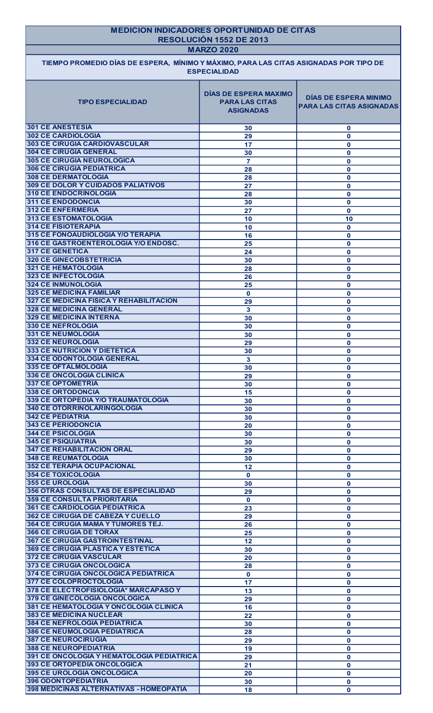| <b>MEDICION INDICADORES OPORTUNIDAD DE CITAS</b><br>RESOLUCIÓN 1552 DE 2013<br><b>MARZO 2020</b>             |                                                                           |                                                                 |  |  |
|--------------------------------------------------------------------------------------------------------------|---------------------------------------------------------------------------|-----------------------------------------------------------------|--|--|
| TIEMPO PROMEDIO DÍAS DE ESPERA, MÍNIMO Y MÁXIMO, PARA LAS CITAS ASIGNADAS POR TIPO DE<br><b>ESPECIALIDAD</b> |                                                                           |                                                                 |  |  |
| <b>TIPO ESPECIALIDAD</b>                                                                                     | <b>DÍAS DE ESPERA MAXIMO</b><br><b>PARA LAS CITAS</b><br><b>ASIGNADAS</b> | <b>DÍAS DE ESPERA MINIMO</b><br><b>PARA LAS CITAS ASIGNADAS</b> |  |  |
| <b>301 CE ANESTESIA</b>                                                                                      | 30                                                                        | $\mathbf 0$                                                     |  |  |
| <b>302 CE CARDIOLOGIA</b>                                                                                    | 29                                                                        | $\mathbf{0}$                                                    |  |  |
| <b>303 CE CIRUGIA CARDIOVASCULAR</b><br><b>304 CE CIRUGIA GENERAL</b>                                        | 17                                                                        | $\mathbf{0}$                                                    |  |  |
| <b>305 CE CIRUGIA NEUROLOGICA</b>                                                                            | 30<br>$\overline{7}$                                                      | $\mathbf{0}$<br>$\mathbf{0}$                                    |  |  |
| <b>306 CE CIRUGIA PEDIATRICA</b>                                                                             | 28                                                                        | $\mathbf{0}$                                                    |  |  |
| <b>308 CE DERMATOLOGIA</b>                                                                                   | 28                                                                        | $\mathbf 0$                                                     |  |  |
| <b>309 CE DOLOR Y CUIDADOS PALIATIVOS</b>                                                                    | 27                                                                        | $\mathbf{0}$                                                    |  |  |
| <b>310 CE ENDOCRINOLOGIA</b>                                                                                 | 28                                                                        | $\bf{0}$                                                        |  |  |
| <b>311 CE ENDODONCIA</b>                                                                                     | 30                                                                        | $\mathbf 0$                                                     |  |  |
| <b>312 CE ENFERMERIA</b>                                                                                     | 27                                                                        | $\mathbf{0}$                                                    |  |  |
| 313 CE ESTOMATOLOGIA<br><b>314 CE FISIOTERAPIA</b>                                                           | 10                                                                        | 10                                                              |  |  |
| 315 CE FONOAUDIOLOGIA Y/O TERAPIA                                                                            | 10<br>16                                                                  | $\mathbf{0}$<br>$\mathbf{0}$                                    |  |  |
| 316 CE GASTROENTEROLOGIA Y/O ENDOSC.                                                                         | 25                                                                        | $\mathbf{0}$                                                    |  |  |
| <b>317 CE GENETICA</b>                                                                                       | 24                                                                        | $\mathbf{0}$                                                    |  |  |
| 320 CE GINECOBSTETRICIA                                                                                      | 30                                                                        | 0                                                               |  |  |
| 321 CE HEMATOLOGIA                                                                                           | 28                                                                        | $\mathbf{0}$                                                    |  |  |
| 323 CE INFECTOLOGIA                                                                                          | 26                                                                        | $\bf{0}$                                                        |  |  |
| <b>324 CE INMUNOLOGIA</b>                                                                                    | 25                                                                        | $\bf{0}$                                                        |  |  |
| <b>325 CE MEDICINA FAMILIAR</b><br><b>327 CE MEDICINA FISICA Y REHABILITACION</b>                            | $\mathbf{0}$<br>29                                                        | $\bf{0}$<br>$\mathbf{0}$                                        |  |  |
| <b>328 CE MEDICINA GENERAL</b>                                                                               | 3                                                                         | $\mathbf{0}$                                                    |  |  |
| <b>329 CE MEDICINA INTERNA</b>                                                                               | 30                                                                        | $\mathbf{0}$                                                    |  |  |
| 330 CE NEFROLOGIA                                                                                            | 30                                                                        | $\mathbf{0}$                                                    |  |  |
| 331 CE NEUMOLOGIA                                                                                            | 30                                                                        | $\bf{0}$                                                        |  |  |
| <b>332 CE NEUROLOGIA</b>                                                                                     | 29                                                                        | $\bf{0}$                                                        |  |  |
| <b>333 CE NUTRICION Y DIETETICA</b>                                                                          | 30                                                                        | $\bf{0}$                                                        |  |  |
| <b>334 CE ODONTOLOGIA GENERAL</b><br><b>335 CE OFTALMOLOGIA</b>                                              | 3                                                                         | $\mathbf 0$                                                     |  |  |
| <b>336 CE ONCOLOGIA CLINICA</b>                                                                              | 30<br>29                                                                  | $\bf{0}$<br>$\mathbf 0$                                         |  |  |
| <b>337 CE OPTOMETRIA</b>                                                                                     | 30                                                                        | $\mathbf{0}$                                                    |  |  |
| <b>338 CE ORTODONCIA</b>                                                                                     | 15                                                                        | $\mathbf{0}$                                                    |  |  |
| 339 CE ORTOPEDIA Y/O TRAUMATOLOGIA                                                                           | 30                                                                        | $\bf{0}$                                                        |  |  |
| <b>340 CE OTORRINOLARINGOLOGIA</b>                                                                           | 30                                                                        | $\bf{0}$                                                        |  |  |
| <b>342 CE PEDIATRIA</b>                                                                                      | 30                                                                        | $\bf{0}$                                                        |  |  |
| <b>343 CE PERIODONCIA</b>                                                                                    | 20                                                                        | $\mathbf{0}$                                                    |  |  |
| 344 CE PSICOLOGIA<br><b>345 CE PSIQUIATRIA</b>                                                               | 30                                                                        | $\bf{0}$                                                        |  |  |
| <b>347 CE REHABILITACION ORAL</b>                                                                            | 30<br>29                                                                  | $\bf{0}$<br>$\bf{0}$                                            |  |  |
| <b>348 CE REUMATOLOGIA</b>                                                                                   | 30                                                                        | $\mathbf{0}$                                                    |  |  |
| <b>352 CE TERAPIA OCUPACIONAL</b>                                                                            | 12                                                                        | $\mathbf{0}$                                                    |  |  |
| <b>354 CE TOXICOLOGIA</b>                                                                                    | $\mathbf 0$                                                               | $\mathbf 0$                                                     |  |  |
| 355 CE UROLOGIA                                                                                              | 30                                                                        | $\mathbf{0}$                                                    |  |  |
| <b>356 OTRAS CONSULTAS DE ESPECIALIDAD</b>                                                                   | 29                                                                        | $\mathbf 0$                                                     |  |  |
| <b>359 CE CONSULTA PRIORITARIA</b>                                                                           | $\mathbf 0$                                                               | $\mathbf{0}$                                                    |  |  |
| <b>361 CE CARDIOLOGIA PEDIATRICA</b><br><b>362 CE CIRUGIA DE CABEZA Y CUELLO</b>                             | 23                                                                        | $\bf{0}$                                                        |  |  |
| <b>364 CE CIRUGIA MAMA Y TUMORES TEJ.</b>                                                                    | 29<br>26                                                                  | $\mathbf 0$<br>$\mathbf{0}$                                     |  |  |
| <b>366 CE CIRUGIA DE TORAX</b>                                                                               | 25                                                                        | $\mathbf 0$                                                     |  |  |
| 367 CE CIRUGIA GASTROINTESTINAL                                                                              | 12                                                                        | $\mathbf{0}$                                                    |  |  |
| <b>369 CE CIRUGIA PLASTICA Y ESTETICA</b>                                                                    | 30                                                                        | $\bf{0}$                                                        |  |  |
| <b>372 CE CIRUGIA VASCULAR</b>                                                                               | 20                                                                        | $\mathbf{0}$                                                    |  |  |
| 373 CE CIRUGIA ONCOLOGICA                                                                                    | 28                                                                        | $\bf{0}$                                                        |  |  |
| <b>374 CE CIRUGIA ONCOLOGICA PEDIATRICA</b>                                                                  | $\mathbf{0}$                                                              | $\mathbf{0}$                                                    |  |  |
| <b>377 CE COLOPROCTOLOGIA</b>                                                                                | 17                                                                        | $\mathbf 0$                                                     |  |  |
| 378 CE ELECTROFISIOLOGIA* MARCAPASO Y                                                                        | 13                                                                        | $\mathbf{0}$                                                    |  |  |
| <b>379 CE GINECOLOGIA ONCOLOGICA</b><br>381 CE HEMATOLOGIA Y ONCOLOGIA CLINICA                               | 29                                                                        | $\mathbf{0}$                                                    |  |  |
| <b>383 CE MEDICINA NUCLEAR</b>                                                                               | 16<br>22                                                                  | $\mathbf{0}$<br>$\mathbf{0}$                                    |  |  |
| <b>384 CE NEFROLOGIA PEDIATRICA</b>                                                                          | 30                                                                        | $\mathbf{0}$                                                    |  |  |
| <b>386 CE NEUMOLOGIA PEDIATRICA</b>                                                                          | 28                                                                        | $\mathbf 0$                                                     |  |  |
| <b>387 CE NEUROCIRUGIA</b>                                                                                   | 29                                                                        | $\mathbf{0}$                                                    |  |  |
| <b>388 CE NEUROPEDIATRIA</b>                                                                                 | 19                                                                        | $\mathbf 0$                                                     |  |  |
| 391 CE ONCOLOGIA Y HEMATOLOGIA PEDIATRICA                                                                    | 29                                                                        | $\mathbf{0}$                                                    |  |  |
| <b>393 CE ORTOPEDIA ONCOLOGICA</b>                                                                           | 21                                                                        | $\mathbf{0}$                                                    |  |  |
| <b>395 CE UROLOGIA ONCOLOGICA</b>                                                                            | 20                                                                        | $\mathbf 0$                                                     |  |  |
| <b>396 ODONTOPEDIATRIA</b>                                                                                   | 30                                                                        | $\mathbf{0}$                                                    |  |  |
|                                                                                                              |                                                                           |                                                                 |  |  |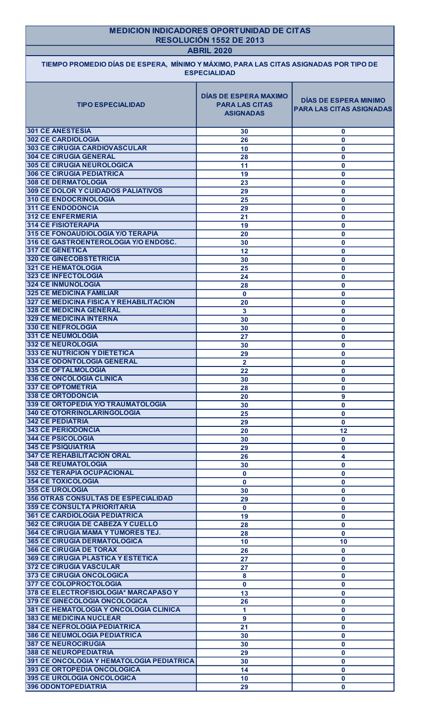| <b>MEDICION INDICADORES OPORTUNIDAD DE CITAS</b><br>RESOLUCIÓN 1552 DE 2013<br><b>ABRIL 2020</b><br>TIEMPO PROMEDIO DÍAS DE ESPERA, MÍNIMO Y MÁXIMO, PARA LAS CITAS ASIGNADAS POR TIPO DE<br><b>ESPECIALIDAD</b> |                      |                              |  |
|------------------------------------------------------------------------------------------------------------------------------------------------------------------------------------------------------------------|----------------------|------------------------------|--|
|                                                                                                                                                                                                                  |                      |                              |  |
| <b>301 CE ANESTESIA</b>                                                                                                                                                                                          | 30                   | $\mathbf{0}$                 |  |
| <b>302 CE CARDIOLOGIA</b><br><b>303 CE CIRUGIA CARDIOVASCULAR</b>                                                                                                                                                | 26                   | $\mathbf{0}$                 |  |
| <b>304 CE CIRUGIA GENERAL</b>                                                                                                                                                                                    | 10<br>28             | $\mathbf 0$<br>$\mathbf 0$   |  |
| <b>305 CE CIRUGIA NEUROLOGICA</b>                                                                                                                                                                                | 11                   | $\mathbf 0$                  |  |
| <b>306 CE CIRUGIA PEDIATRICA</b>                                                                                                                                                                                 | 19                   | $\mathbf{0}$                 |  |
| <b>308 CE DERMATOLOGIA</b>                                                                                                                                                                                       | 23                   | $\mathbf{0}$                 |  |
| <b>309 CE DOLOR Y CUIDADOS PALIATIVOS</b><br><b>310 CE ENDOCRINOLOGIA</b>                                                                                                                                        | 29<br>25             | $\mathbf{0}$<br>$\mathbf{0}$ |  |
| <b>311 CE ENDODONCIA</b>                                                                                                                                                                                         | 29                   | $\mathbf{0}$                 |  |
| <b>312 CE ENFERMERIA</b>                                                                                                                                                                                         | 21                   | $\mathbf{0}$                 |  |
| <b>314 CE FISIOTERAPIA</b>                                                                                                                                                                                       | 19                   | $\mathbf{0}$                 |  |
| 315 CE FONOAUDIOLOGIA Y/O TERAPIA<br>316 CE GASTROENTEROLOGIA Y/O ENDOSC.                                                                                                                                        | 20<br>30             | $\mathbf{0}$<br>$\mathbf{0}$ |  |
| <b>317 CE GENETICA</b>                                                                                                                                                                                           | 12                   | $\mathbf{0}$                 |  |
| <b>320 CE GINECOBSTETRICIA</b>                                                                                                                                                                                   | 30                   | $\mathbf{0}$                 |  |
| <b>321 CE HEMATOLOGIA</b>                                                                                                                                                                                        | 25                   | $\mathbf 0$                  |  |
| <b>323 CE INFECTOLOGIA</b><br><b>324 CE INMUNOLOGIA</b>                                                                                                                                                          | 24<br>28             | $\bf{0}$<br>$\mathbf{0}$     |  |
| <b>325 CE MEDICINA FAMILIAR</b>                                                                                                                                                                                  | $\mathbf{0}$         | $\mathbf 0$                  |  |
| 327 CE MEDICINA FISICA Y REHABILITACION                                                                                                                                                                          | 20                   | $\mathbf 0$                  |  |
| <b>328 CE MEDICINA GENERAL</b><br><b>329 CE MEDICINA INTERNA</b>                                                                                                                                                 | $\mathbf{3}$         | $\mathbf 0$                  |  |
| <b>330 CE NEFROLOGIA</b>                                                                                                                                                                                         | 30<br>30             | $\mathbf 0$<br>$\mathbf 0$   |  |
| 331 CE NEUMOLOGIA                                                                                                                                                                                                | 27                   | $\mathbf 0$                  |  |
| 332 CE NEUROLOGIA                                                                                                                                                                                                | 30                   | $\mathbf 0$                  |  |
| <b>333 CE NUTRICION Y DIETETICA</b><br><b>334 CE ODONTOLOGIA GENERAL</b>                                                                                                                                         | 29                   | $\mathbf 0$                  |  |
| 335 CE OFTALMOLOGIA                                                                                                                                                                                              | $\overline{2}$<br>22 | $\mathbf 0$<br>$\mathbf 0$   |  |
| <b>336 CE ONCOLOGIA CLINICA</b>                                                                                                                                                                                  | 30                   | $\mathbf 0$                  |  |
| <b>337 CE OPTOMETRIA</b>                                                                                                                                                                                         | 28                   | $\mathbf 0$                  |  |
| <b>338 CE ORTODONCIA</b><br>339 CE ORTOPEDIA Y/O TRAUMATOLOGIA                                                                                                                                                   | 20<br>30             | 9<br>$\mathbf 0$             |  |
| <b>340 CE OTORRINOLARINGOLOGIA</b>                                                                                                                                                                               | 25                   | $\mathbf 0$                  |  |
| <b>342 CE PEDIATRIA</b>                                                                                                                                                                                          | 29                   | $\mathbf 0$                  |  |
| <b>343 CE PERIODONCIA</b>                                                                                                                                                                                        | 20                   | 12                           |  |
| <b>344 CE PSICOLOGIA</b><br><b>345 CE PSIQUIATRIA</b>                                                                                                                                                            | 30                   | $\mathbf 0$                  |  |
| <b>347 CE REHABILITACION ORAL</b>                                                                                                                                                                                | 29<br>26             | $\mathbf 0$<br>4             |  |
| <b>348 CE REUMATOLOGIA</b>                                                                                                                                                                                       | 30                   | $\mathbf 0$                  |  |
| 352 CE TERAPIA OCUPACIONAL                                                                                                                                                                                       | $\mathbf 0$          | $\mathbf 0$                  |  |
| <b>354 CE TOXICOLOGIA</b>                                                                                                                                                                                        | $\mathbf 0$          | $\mathbf 0$                  |  |
| <b>355 CE UROLOGIA</b><br><b>356 OTRAS CONSULTAS DE ESPECIALIDAD</b>                                                                                                                                             | 30<br>29             | $\mathbf{0}$<br>$\mathbf 0$  |  |
| <b>359 CE CONSULTA PRIORITARIA</b>                                                                                                                                                                               | $\mathbf{0}$         | $\mathbf{0}$                 |  |
| <b>361 CE CARDIOLOGIA PEDIATRICA</b>                                                                                                                                                                             | 19                   | $\mathbf 0$                  |  |
| <b>362 CE CIRUGIA DE CABEZA Y CUELLO</b>                                                                                                                                                                         | 28                   | $\mathbf 0$                  |  |
| <b>364 CE CIRUGIA MAMA Y TUMORES TEJ.</b><br><b>365 CE CIRUGIA DERMATOLOGICA</b>                                                                                                                                 | 28<br>10             | $\mathbf 0$<br>10            |  |
| <b>366 CE CIRUGIA DE TORAX</b>                                                                                                                                                                                   | 26                   | $\mathbf 0$                  |  |
| <b>369 CE CIRUGIA PLASTICA Y ESTETICA</b>                                                                                                                                                                        | 27                   | $\mathbf 0$                  |  |
| <b>372 CE CIRUGIA VASCULAR</b>                                                                                                                                                                                   | 27                   | $\mathbf 0$                  |  |
| <b>373 CE CIRUGIA ONCOLOGICA</b><br>377 CE COLOPROCTOLOGIA                                                                                                                                                       | 8                    | $\mathbf{0}$                 |  |
| 378 CE ELECTROFISIOLOGIA* MARCAPASO Y                                                                                                                                                                            | $\mathbf 0$<br>13    | $\mathbf 0$<br>$\mathbf 0$   |  |
| 379 CE GINECOLOGIA ONCOLOGICA                                                                                                                                                                                    | 26                   | $\mathbf{0}$                 |  |
| 381 CE HEMATOLOGIA Y ONCOLOGIA CLINICA                                                                                                                                                                           | $\blacktriangleleft$ | $\mathbf{0}$                 |  |
| <b>383 CE MEDICINA NUCLEAR</b>                                                                                                                                                                                   | $\mathbf{9}$         | $\mathbf{0}$                 |  |
| <b>384 CE NEFROLOGIA PEDIATRICA</b><br><b>386 CE NEUMOLOGIA PEDIATRICA</b>                                                                                                                                       | 21<br>30             | $\mathbf{0}$<br>$\mathbf 0$  |  |
| <b>387 CE NEUROCIRUGIA</b>                                                                                                                                                                                       | 30                   | $\mathbf{0}$                 |  |
| <b>388 CE NEUROPEDIATRIA</b>                                                                                                                                                                                     | 29                   | $\mathbf{0}$                 |  |
| <b>391 CE ONCOLOGIA Y HEMATOLOGIA PEDIATRICA</b>                                                                                                                                                                 | 30                   | $\mathbf{0}$                 |  |
| 393 CE ORTOPEDIA ONCOLOGICA<br><b>395 CE UROLOGIA ONCOLOGICA</b>                                                                                                                                                 | 14                   | $\mathbf{0}$                 |  |
|                                                                                                                                                                                                                  | 10                   | $\mathbf{0}$                 |  |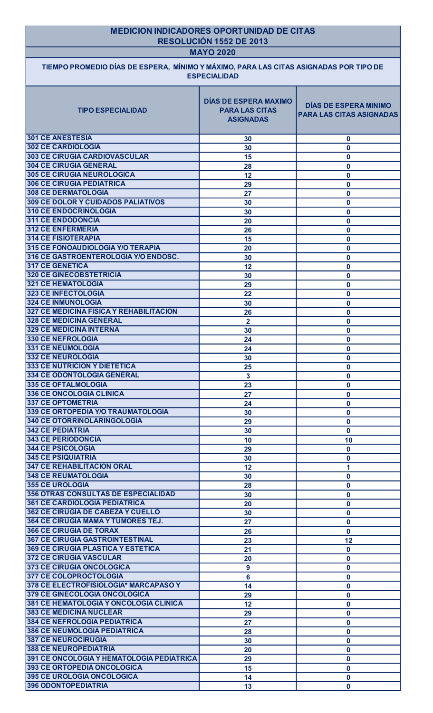| <b>MEDICION INDICADORES OPORTUNIDAD DE CITAS</b>                                                             |                                                                           |                                                                 |  |  |
|--------------------------------------------------------------------------------------------------------------|---------------------------------------------------------------------------|-----------------------------------------------------------------|--|--|
| RESOLUCIÓN 1552 DE 2013<br><b>MAYO 2020</b>                                                                  |                                                                           |                                                                 |  |  |
| TIEMPO PROMEDIO DÍAS DE ESPERA, MÍNIMO Y MÁXIMO, PARA LAS CITAS ASIGNADAS POR TIPO DE<br><b>ESPECIALIDAD</b> |                                                                           |                                                                 |  |  |
| <b>TIPO ESPECIALIDAD</b>                                                                                     | <b>DÍAS DE ESPERA MAXIMO</b><br><b>PARA LAS CITAS</b><br><b>ASIGNADAS</b> | <b>DÍAS DE ESPERA MINIMO</b><br><b>PARA LAS CITAS ASIGNADAS</b> |  |  |
| <b>301 CE ANESTESIA</b>                                                                                      | 30                                                                        | $\bf{0}$                                                        |  |  |
| <b>302 CE CARDIOLOGIA</b>                                                                                    | 30                                                                        | $\mathbf 0$                                                     |  |  |
| <b>303 CE CIRUGIA CARDIOVASCULAR</b><br><b>304 CE CIRUGIA GENERAL</b>                                        | 15                                                                        | $\boldsymbol{0}$                                                |  |  |
| <b>305 CE CIRUGIA NEUROLOGICA</b>                                                                            | 28<br>12                                                                  | $\mathbf 0$<br>$\boldsymbol{0}$                                 |  |  |
| <b>306 CE CIRUGIA PEDIATRICA</b>                                                                             | 29                                                                        | $\mathbf 0$                                                     |  |  |
| <b>308 CE DERMATOLOGIA</b>                                                                                   | 27                                                                        | $\mathbf 0$                                                     |  |  |
| <b>309 CE DOLOR Y CUIDADOS PALIATIVOS</b>                                                                    | 30                                                                        | $\boldsymbol{0}$                                                |  |  |
| <b>310 CE ENDOCRINOLOGIA</b><br><b>311 CE ENDODONCIA</b>                                                     | 30                                                                        | $\mathbf 0$                                                     |  |  |
| <b>312 CE ENFERMERIA</b>                                                                                     | 20<br>26                                                                  | $\mathbf 0$<br>$\mathbf 0$                                      |  |  |
| <b>314 CE FISIOTERAPIA</b>                                                                                   | 15                                                                        | $\mathbf 0$                                                     |  |  |
| 315 CE FONOAUDIOLOGIA Y/O TERAPIA                                                                            | 20                                                                        | $\mathbf 0$                                                     |  |  |
| 316 CE GASTROENTEROLOGIA Y/O ENDOSC.                                                                         | 30                                                                        | $\bf{0}$                                                        |  |  |
| <b>317 CE GENETICA</b><br><b>320 CE GINECOBSTETRICIA</b>                                                     | 12<br>30                                                                  | $\mathbf 0$<br>$\mathbf 0$                                      |  |  |
| <b>321 CE HEMATOLOGIA</b>                                                                                    | 29                                                                        | $\mathbf 0$                                                     |  |  |
| 323 CE INFECTOLOGIA                                                                                          | 22                                                                        | $\mathbf 0$                                                     |  |  |
| <b>324 CE INMUNOLOGIA</b><br>327 CE MEDICINA FISICA Y REHABILITACION                                         | 30                                                                        | $\mathbf 0$                                                     |  |  |
| <b>328 CE MEDICINA GENERAL</b>                                                                               | 26<br>$\overline{\mathbf{2}}$                                             | $\mathbf 0$<br>$\mathbf 0$                                      |  |  |
| <b>329 CE MEDICINA INTERNA</b>                                                                               | 30                                                                        | $\mathbf 0$                                                     |  |  |
| <b>330 CE NEFROLOGIA</b>                                                                                     | 24                                                                        | $\boldsymbol{0}$                                                |  |  |
| 331 CE NEUMOLOGIA                                                                                            | 24                                                                        | $\mathbf 0$                                                     |  |  |
| <b>332 CE NEUROLOGIA</b><br><b>333 CE NUTRICION Y DIETETICA</b>                                              | 30<br>25                                                                  | $\mathbf 0$<br>$\mathbf 0$                                      |  |  |
| <b>334 CE ODONTOLOGIA GENERAL</b>                                                                            | $\mathbf{3}$                                                              | $\mathbf 0$                                                     |  |  |
| 335 CE OFTALMOLOGIA                                                                                          | 23                                                                        | $\mathbf 0$                                                     |  |  |
| 336 CE ONCOLOGIA CLINICA                                                                                     | 27                                                                        | $\mathbf 0$                                                     |  |  |
| <b>337 CE OPTOMETRIA</b><br>339 CE ORTOPEDIA Y/O TRAUMATOLOGIA                                               | 24                                                                        | $\boldsymbol{0}$                                                |  |  |
| 340 CE OTORRINOLARINGOLOGIA                                                                                  | 30<br>29                                                                  | $\boldsymbol{0}$<br>$\mathbf 0$                                 |  |  |
| <b>342 CE PEDIATRIA</b>                                                                                      | 30                                                                        | $\mathbf{0}$                                                    |  |  |
| <b>343 CE PERIODONCIA</b>                                                                                    | 10                                                                        | 10                                                              |  |  |
| <b>344 CE PSICOLOGIA</b>                                                                                     | 29                                                                        | $\mathbf 0$                                                     |  |  |
| <b>345 CE PSIQUIATRIA</b>                                                                                    | 30                                                                        | $\bf{0}$                                                        |  |  |
| <b>347 CE REHABILITACION ORAL</b><br><b>348 CE REUMATOLOGIA</b>                                              | 12<br>30                                                                  |                                                                 |  |  |
| <b>355 CE UROLOGIA</b>                                                                                       | 28                                                                        | $\mathbf 0$<br>$\mathbf 0$                                      |  |  |
| <b>356 OTRAS CONSULTAS DE ESPECIALIDAD</b>                                                                   | 30                                                                        | $\mathbf 0$                                                     |  |  |
| <b>361 CE CARDIOLOGIA PEDIATRICA</b>                                                                         | 20                                                                        | $\mathbf 0$                                                     |  |  |
| <b>362 CE CIRUGIA DE CABEZA Y CUELLO</b>                                                                     | 30                                                                        | $\boldsymbol{0}$                                                |  |  |
| 364 CE CIRUGIA MAMA Y TUMORES TEJ.<br><b>366 CE CIRUGIA DE TORAX</b>                                         | 27<br>26                                                                  | $\boldsymbol{0}$<br>$\bf{0}$                                    |  |  |
| <b>367 CE CIRUGIA GASTROINTESTINAL</b>                                                                       | 23                                                                        | 12                                                              |  |  |
| <b>369 CE CIRUGIA PLASTICA Y ESTETICA</b>                                                                    | 21                                                                        | $\mathbf 0$                                                     |  |  |
| <b>372 CE CIRUGIA VASCULAR</b>                                                                               | 20                                                                        | $\bf{0}$                                                        |  |  |
| 373 CE CIRUGIA ONCOLOGICA                                                                                    | 9                                                                         | $\mathbf 0$                                                     |  |  |
| 377 CE COLOPROCTOLOGIA<br>378 CE ELECTROFISIOLOGIA* MARCAPASO Y                                              | 6                                                                         | $\mathbf 0$                                                     |  |  |
| 379 CE GINECOLOGIA ONCOLOGICA                                                                                | 14<br>29                                                                  | $\mathbf 0$<br>$\mathbf 0$                                      |  |  |
| 381 CE HEMATOLOGIA Y ONCOLOGIA CLINICA                                                                       | 12                                                                        | $\mathbf 0$                                                     |  |  |
| <b>383 CE MEDICINA NUCLEAR</b>                                                                               | 29                                                                        | $\mathbf 0$                                                     |  |  |
| <b>384 CE NEFROLOGIA PEDIATRICA</b>                                                                          | 27                                                                        | $\mathbf{0}$                                                    |  |  |
| <b>386 CE NEUMOLOGIA PEDIATRICA</b><br><b>387 CE NEUROCIRUGIA</b>                                            | 28                                                                        | $\mathbf 0$                                                     |  |  |
| <b>388 CE NEUROPEDIATRIA</b>                                                                                 | 30<br>20                                                                  | $\mathbf 0$<br>$\mathbf 0$                                      |  |  |
| 391 CE ONCOLOGIA Y HEMATOLOGIA PEDIATRICA                                                                    | 29                                                                        | $\mathbf 0$                                                     |  |  |
| 393 CE ORTOPEDIA ONCOLOGICA                                                                                  | 15                                                                        | $\mathbf 0$                                                     |  |  |
| 395 CE UROLOGIA ONCOLOGICA                                                                                   | 14                                                                        | $\mathbf 0$                                                     |  |  |
| <b>396 ODONTOPEDIATRIA</b>                                                                                   | 13                                                                        | $\mathbf{0}$                                                    |  |  |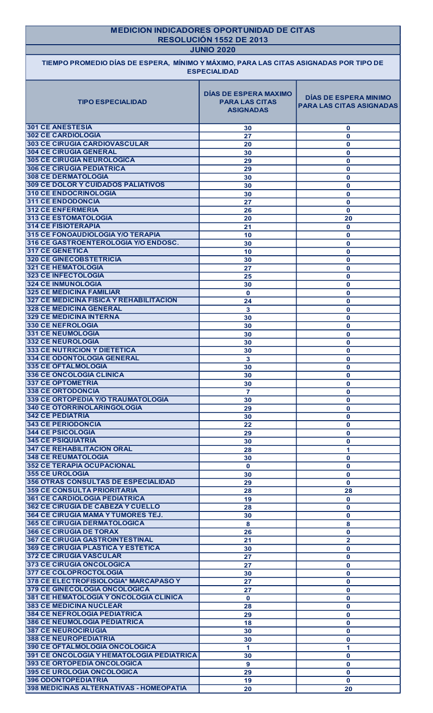| TIEMPO PROMEDIO DÍAS DE ESPERA, MÍNIMO Y MÁXIMO, PARA LAS CITAS ASIGNADAS POR TIPO DE<br><b>TIPO ESPECIALIDAD</b><br><b>301 CE ANESTESIA</b><br><b>302 CE CARDIOLOGIA</b><br><b>303 CE CIRUGIA CARDIOVASCULAR</b><br><b>304 CE CIRUGIA GENERAL</b><br><b>305 CE CIRUGIA NEUROLOGICA</b><br><b>306 CE CIRUGIA PEDIATRICA</b><br><b>308 CE DERMATOLOGIA</b><br><b>309 CE DOLOR Y CUIDADOS PALIATIVOS</b><br><b>310 CE ENDOCRINOLOGIA</b><br><b>311 CE ENDODONCIA</b><br><b>312 CE ENFERMERIA</b><br>313 CE ESTOMATOLOGIA<br><b>314 CE FISIOTERAPIA</b><br>315 CE FONOAUDIOLOGIA Y/O TERAPIA<br>316 CE GASTROENTEROLOGIA Y/O ENDOSC.<br>317 CE GENETICA<br><b>320 CE GINECOBSTETRICIA</b><br>321 CE HEMATOLOGIA<br><b>323 CE INFECTOLOGIA</b><br><b>324 CE INMUNOLOGIA</b><br><b>325 CE MEDICINA FAMILIAR</b><br><b>327 CE MEDICINA FISICA Y REHABILITACION</b> | <b>JUNIO 2020</b><br><b>ESPECIALIDAD</b><br><b>DÍAS DE ESPERA MAXIMO</b><br><b>PARA LAS CITAS</b><br><b>ASIGNADAS</b><br>30<br>27<br>20<br>30<br>29<br>29<br>30<br>30<br>30<br>27<br>26<br>20<br>21<br>10<br>30<br>10<br>30<br>27<br>25 | <b>DÍAS DE ESPERA MINIMO</b><br><b>PARA LAS CITAS ASIGNADAS</b><br>$\mathbf{0}$<br>$\bf{0}$<br>$\mathbf{0}$<br>$\mathbf 0$<br>$\mathbf 0$<br>$\mathbf 0$<br>$\mathbf 0$<br>$\mathbf 0$<br>$\mathbf 0$<br>$\mathbf{0}$<br>$\mathbf 0$<br>20<br>$\mathbf{0}$<br>$\mathbf 0$<br>$\bf{0}$<br>$\mathbf 0$ |
|--------------------------------------------------------------------------------------------------------------------------------------------------------------------------------------------------------------------------------------------------------------------------------------------------------------------------------------------------------------------------------------------------------------------------------------------------------------------------------------------------------------------------------------------------------------------------------------------------------------------------------------------------------------------------------------------------------------------------------------------------------------------------------------------------------------------------------------------------------------|-----------------------------------------------------------------------------------------------------------------------------------------------------------------------------------------------------------------------------------------|------------------------------------------------------------------------------------------------------------------------------------------------------------------------------------------------------------------------------------------------------------------------------------------------------|
|                                                                                                                                                                                                                                                                                                                                                                                                                                                                                                                                                                                                                                                                                                                                                                                                                                                              |                                                                                                                                                                                                                                         |                                                                                                                                                                                                                                                                                                      |
|                                                                                                                                                                                                                                                                                                                                                                                                                                                                                                                                                                                                                                                                                                                                                                                                                                                              |                                                                                                                                                                                                                                         |                                                                                                                                                                                                                                                                                                      |
|                                                                                                                                                                                                                                                                                                                                                                                                                                                                                                                                                                                                                                                                                                                                                                                                                                                              |                                                                                                                                                                                                                                         |                                                                                                                                                                                                                                                                                                      |
|                                                                                                                                                                                                                                                                                                                                                                                                                                                                                                                                                                                                                                                                                                                                                                                                                                                              |                                                                                                                                                                                                                                         |                                                                                                                                                                                                                                                                                                      |
|                                                                                                                                                                                                                                                                                                                                                                                                                                                                                                                                                                                                                                                                                                                                                                                                                                                              |                                                                                                                                                                                                                                         |                                                                                                                                                                                                                                                                                                      |
|                                                                                                                                                                                                                                                                                                                                                                                                                                                                                                                                                                                                                                                                                                                                                                                                                                                              |                                                                                                                                                                                                                                         |                                                                                                                                                                                                                                                                                                      |
|                                                                                                                                                                                                                                                                                                                                                                                                                                                                                                                                                                                                                                                                                                                                                                                                                                                              |                                                                                                                                                                                                                                         |                                                                                                                                                                                                                                                                                                      |
|                                                                                                                                                                                                                                                                                                                                                                                                                                                                                                                                                                                                                                                                                                                                                                                                                                                              |                                                                                                                                                                                                                                         |                                                                                                                                                                                                                                                                                                      |
|                                                                                                                                                                                                                                                                                                                                                                                                                                                                                                                                                                                                                                                                                                                                                                                                                                                              |                                                                                                                                                                                                                                         |                                                                                                                                                                                                                                                                                                      |
|                                                                                                                                                                                                                                                                                                                                                                                                                                                                                                                                                                                                                                                                                                                                                                                                                                                              |                                                                                                                                                                                                                                         |                                                                                                                                                                                                                                                                                                      |
|                                                                                                                                                                                                                                                                                                                                                                                                                                                                                                                                                                                                                                                                                                                                                                                                                                                              |                                                                                                                                                                                                                                         |                                                                                                                                                                                                                                                                                                      |
|                                                                                                                                                                                                                                                                                                                                                                                                                                                                                                                                                                                                                                                                                                                                                                                                                                                              |                                                                                                                                                                                                                                         |                                                                                                                                                                                                                                                                                                      |
|                                                                                                                                                                                                                                                                                                                                                                                                                                                                                                                                                                                                                                                                                                                                                                                                                                                              |                                                                                                                                                                                                                                         |                                                                                                                                                                                                                                                                                                      |
|                                                                                                                                                                                                                                                                                                                                                                                                                                                                                                                                                                                                                                                                                                                                                                                                                                                              |                                                                                                                                                                                                                                         |                                                                                                                                                                                                                                                                                                      |
|                                                                                                                                                                                                                                                                                                                                                                                                                                                                                                                                                                                                                                                                                                                                                                                                                                                              |                                                                                                                                                                                                                                         |                                                                                                                                                                                                                                                                                                      |
|                                                                                                                                                                                                                                                                                                                                                                                                                                                                                                                                                                                                                                                                                                                                                                                                                                                              |                                                                                                                                                                                                                                         |                                                                                                                                                                                                                                                                                                      |
|                                                                                                                                                                                                                                                                                                                                                                                                                                                                                                                                                                                                                                                                                                                                                                                                                                                              |                                                                                                                                                                                                                                         | $\mathbf 0$                                                                                                                                                                                                                                                                                          |
|                                                                                                                                                                                                                                                                                                                                                                                                                                                                                                                                                                                                                                                                                                                                                                                                                                                              |                                                                                                                                                                                                                                         | $\mathbf{0}$                                                                                                                                                                                                                                                                                         |
|                                                                                                                                                                                                                                                                                                                                                                                                                                                                                                                                                                                                                                                                                                                                                                                                                                                              |                                                                                                                                                                                                                                         | $\bf{0}$                                                                                                                                                                                                                                                                                             |
|                                                                                                                                                                                                                                                                                                                                                                                                                                                                                                                                                                                                                                                                                                                                                                                                                                                              | 30                                                                                                                                                                                                                                      | $\mathbf{0}$                                                                                                                                                                                                                                                                                         |
|                                                                                                                                                                                                                                                                                                                                                                                                                                                                                                                                                                                                                                                                                                                                                                                                                                                              | $\mathbf{0}$                                                                                                                                                                                                                            | $\mathbf{0}$                                                                                                                                                                                                                                                                                         |
| <b>328 CE MEDICINA GENERAL</b>                                                                                                                                                                                                                                                                                                                                                                                                                                                                                                                                                                                                                                                                                                                                                                                                                               | 24<br>$\mathbf{3}$                                                                                                                                                                                                                      | $\mathbf 0$<br>$\mathbf 0$                                                                                                                                                                                                                                                                           |
| <b>329 CE MEDICINA INTERNA</b>                                                                                                                                                                                                                                                                                                                                                                                                                                                                                                                                                                                                                                                                                                                                                                                                                               | 30                                                                                                                                                                                                                                      | $\mathbf 0$                                                                                                                                                                                                                                                                                          |
| 330 CE NEFROLOGIA                                                                                                                                                                                                                                                                                                                                                                                                                                                                                                                                                                                                                                                                                                                                                                                                                                            | 30                                                                                                                                                                                                                                      | $\mathbf 0$                                                                                                                                                                                                                                                                                          |
| <b>331 CE NEUMOLOGIA</b>                                                                                                                                                                                                                                                                                                                                                                                                                                                                                                                                                                                                                                                                                                                                                                                                                                     | 30                                                                                                                                                                                                                                      | $\mathbf{0}$                                                                                                                                                                                                                                                                                         |
| <b>332 CE NEUROLOGIA</b>                                                                                                                                                                                                                                                                                                                                                                                                                                                                                                                                                                                                                                                                                                                                                                                                                                     | 30                                                                                                                                                                                                                                      | $\mathbf 0$                                                                                                                                                                                                                                                                                          |
| <b>333 CE NUTRICION Y DIETETICA</b>                                                                                                                                                                                                                                                                                                                                                                                                                                                                                                                                                                                                                                                                                                                                                                                                                          | 30                                                                                                                                                                                                                                      | $\mathbf 0$                                                                                                                                                                                                                                                                                          |
| <b>334 CE ODONTOLOGIA GENERAL</b><br><b>335 CE OFTALMOLOGIA</b>                                                                                                                                                                                                                                                                                                                                                                                                                                                                                                                                                                                                                                                                                                                                                                                              | $\mathbf{3}$                                                                                                                                                                                                                            | $\mathbf 0$                                                                                                                                                                                                                                                                                          |
| <b>336 CE ONCOLOGIA CLINICA</b>                                                                                                                                                                                                                                                                                                                                                                                                                                                                                                                                                                                                                                                                                                                                                                                                                              | 30<br>30                                                                                                                                                                                                                                | $\mathbf 0$<br>$\mathbf 0$                                                                                                                                                                                                                                                                           |
| <b>337 CE OPTOMETRIA</b>                                                                                                                                                                                                                                                                                                                                                                                                                                                                                                                                                                                                                                                                                                                                                                                                                                     | 30                                                                                                                                                                                                                                      | $\mathbf 0$                                                                                                                                                                                                                                                                                          |
| <b>338 CE ORTODONCIA</b>                                                                                                                                                                                                                                                                                                                                                                                                                                                                                                                                                                                                                                                                                                                                                                                                                                     | $\overline{7}$                                                                                                                                                                                                                          | $\mathbf 0$                                                                                                                                                                                                                                                                                          |
| 339 CE ORTOPEDIA Y/O TRAUMATOLOGIA                                                                                                                                                                                                                                                                                                                                                                                                                                                                                                                                                                                                                                                                                                                                                                                                                           | 30                                                                                                                                                                                                                                      | $\mathbf{0}$                                                                                                                                                                                                                                                                                         |
| 340 CE OTORRINOLARINGOLOGIA                                                                                                                                                                                                                                                                                                                                                                                                                                                                                                                                                                                                                                                                                                                                                                                                                                  | 29                                                                                                                                                                                                                                      | $\mathbf{0}$                                                                                                                                                                                                                                                                                         |
| <b>342 CE PEDIATRIA</b>                                                                                                                                                                                                                                                                                                                                                                                                                                                                                                                                                                                                                                                                                                                                                                                                                                      | 30                                                                                                                                                                                                                                      | $\mathbf 0$                                                                                                                                                                                                                                                                                          |
| <b>343 CE PERIODONCIA</b>                                                                                                                                                                                                                                                                                                                                                                                                                                                                                                                                                                                                                                                                                                                                                                                                                                    | 22                                                                                                                                                                                                                                      | $\mathbf{0}$                                                                                                                                                                                                                                                                                         |
| <b>344 CE PSICOLOGIA</b><br><b>345 CE PSIQUIATRIA</b>                                                                                                                                                                                                                                                                                                                                                                                                                                                                                                                                                                                                                                                                                                                                                                                                        | 29<br>30                                                                                                                                                                                                                                | $\mathbf 0$<br>$\mathbf{0}$                                                                                                                                                                                                                                                                          |
| <b>347 CE REHABILITACION ORAL</b>                                                                                                                                                                                                                                                                                                                                                                                                                                                                                                                                                                                                                                                                                                                                                                                                                            | 28                                                                                                                                                                                                                                      | 1                                                                                                                                                                                                                                                                                                    |
| <b>348 CE REUMATOLOGIA</b>                                                                                                                                                                                                                                                                                                                                                                                                                                                                                                                                                                                                                                                                                                                                                                                                                                   | 30                                                                                                                                                                                                                                      | $\mathbf 0$                                                                                                                                                                                                                                                                                          |
| <b>352 CE TERAPIA OCUPACIONAL</b>                                                                                                                                                                                                                                                                                                                                                                                                                                                                                                                                                                                                                                                                                                                                                                                                                            | $\mathbf 0$                                                                                                                                                                                                                             | $\mathbf 0$                                                                                                                                                                                                                                                                                          |
| <b>355 CE UROLOGIA</b>                                                                                                                                                                                                                                                                                                                                                                                                                                                                                                                                                                                                                                                                                                                                                                                                                                       | 30                                                                                                                                                                                                                                      | $\mathbf 0$                                                                                                                                                                                                                                                                                          |
| <b>356 OTRAS CONSULTAS DE ESPECIALIDAD</b>                                                                                                                                                                                                                                                                                                                                                                                                                                                                                                                                                                                                                                                                                                                                                                                                                   | 29                                                                                                                                                                                                                                      | $\mathbf 0$                                                                                                                                                                                                                                                                                          |
| <b>359 CE CONSULTA PRIORITARIA</b>                                                                                                                                                                                                                                                                                                                                                                                                                                                                                                                                                                                                                                                                                                                                                                                                                           | 28                                                                                                                                                                                                                                      | 28                                                                                                                                                                                                                                                                                                   |
| <b>361 CE CARDIOLOGIA PEDIATRICA</b><br>362 CE CIRUGIA DE CABEZA Y CUELLO                                                                                                                                                                                                                                                                                                                                                                                                                                                                                                                                                                                                                                                                                                                                                                                    | 19                                                                                                                                                                                                                                      | $\mathbf 0$                                                                                                                                                                                                                                                                                          |
| 364 CE CIRUGIA MAMA Y TUMORES TEJ.                                                                                                                                                                                                                                                                                                                                                                                                                                                                                                                                                                                                                                                                                                                                                                                                                           | 28<br>30                                                                                                                                                                                                                                | $\mathbf 0$<br>$\mathbf 0$                                                                                                                                                                                                                                                                           |
| <b>365 CE CIRUGIA DERMATOLOGICA</b>                                                                                                                                                                                                                                                                                                                                                                                                                                                                                                                                                                                                                                                                                                                                                                                                                          | 8                                                                                                                                                                                                                                       | 8                                                                                                                                                                                                                                                                                                    |
| <b>366 CE CIRUGIA DE TORAX</b>                                                                                                                                                                                                                                                                                                                                                                                                                                                                                                                                                                                                                                                                                                                                                                                                                               | 26                                                                                                                                                                                                                                      | $\mathbf 0$                                                                                                                                                                                                                                                                                          |
| <b>367 CE CIRUGIA GASTROINTESTINAL</b>                                                                                                                                                                                                                                                                                                                                                                                                                                                                                                                                                                                                                                                                                                                                                                                                                       | 21                                                                                                                                                                                                                                      | $\mathbf{2}$                                                                                                                                                                                                                                                                                         |
| <b>369 CE CIRUGIA PLASTICA Y ESTETICA</b>                                                                                                                                                                                                                                                                                                                                                                                                                                                                                                                                                                                                                                                                                                                                                                                                                    | 30                                                                                                                                                                                                                                      | $\mathbf{0}$                                                                                                                                                                                                                                                                                         |
| <b>372 CE CIRUGIA VASCULAR</b>                                                                                                                                                                                                                                                                                                                                                                                                                                                                                                                                                                                                                                                                                                                                                                                                                               | 27                                                                                                                                                                                                                                      | $\mathbf 0$                                                                                                                                                                                                                                                                                          |
| 373 CE CIRUGIA ONCOLOGICA                                                                                                                                                                                                                                                                                                                                                                                                                                                                                                                                                                                                                                                                                                                                                                                                                                    | 27                                                                                                                                                                                                                                      | $\mathbf{0}$                                                                                                                                                                                                                                                                                         |
| <b>377 CE COLOPROCTOLOGIA</b>                                                                                                                                                                                                                                                                                                                                                                                                                                                                                                                                                                                                                                                                                                                                                                                                                                | 30                                                                                                                                                                                                                                      | $\bf{0}$                                                                                                                                                                                                                                                                                             |
| 378 CE ELECTROFISIOLOGIA* MARCAPASO Y                                                                                                                                                                                                                                                                                                                                                                                                                                                                                                                                                                                                                                                                                                                                                                                                                        | 27                                                                                                                                                                                                                                      | $\mathbf 0$                                                                                                                                                                                                                                                                                          |
| <b>379 CE GINECOLOGIA ONCOLOGICA</b><br><b>381 CE HEMATOLOGIA Y ONCOLOGIA CLINICA</b>                                                                                                                                                                                                                                                                                                                                                                                                                                                                                                                                                                                                                                                                                                                                                                        | 27                                                                                                                                                                                                                                      | $\mathbf{0}$                                                                                                                                                                                                                                                                                         |
| <b>383 CE MEDICINA NUCLEAR</b>                                                                                                                                                                                                                                                                                                                                                                                                                                                                                                                                                                                                                                                                                                                                                                                                                               | $\mathbf 0$<br>28                                                                                                                                                                                                                       | $\mathbf{0}$<br>$\mathbf 0$                                                                                                                                                                                                                                                                          |
| <b>384 CE NEFROLOGIA PEDIATRICA</b>                                                                                                                                                                                                                                                                                                                                                                                                                                                                                                                                                                                                                                                                                                                                                                                                                          | 29                                                                                                                                                                                                                                      | $\mathbf 0$                                                                                                                                                                                                                                                                                          |
| <b>386 CE NEUMOLOGIA PEDIATRICA</b>                                                                                                                                                                                                                                                                                                                                                                                                                                                                                                                                                                                                                                                                                                                                                                                                                          | 18                                                                                                                                                                                                                                      | $\mathbf 0$                                                                                                                                                                                                                                                                                          |
| <b>387 CE NEUROCIRUGIA</b>                                                                                                                                                                                                                                                                                                                                                                                                                                                                                                                                                                                                                                                                                                                                                                                                                                   | 30                                                                                                                                                                                                                                      | $\mathbf 0$                                                                                                                                                                                                                                                                                          |
| <b>388 CE NEUROPEDIATRIA</b>                                                                                                                                                                                                                                                                                                                                                                                                                                                                                                                                                                                                                                                                                                                                                                                                                                 | 30                                                                                                                                                                                                                                      | $\mathbf 0$                                                                                                                                                                                                                                                                                          |
| 390 CE OFTALMOLOGIA ONCOLOGICA                                                                                                                                                                                                                                                                                                                                                                                                                                                                                                                                                                                                                                                                                                                                                                                                                               | 1                                                                                                                                                                                                                                       | 1                                                                                                                                                                                                                                                                                                    |
| 391 CE ONCOLOGIA Y HEMATOLOGIA PEDIATRICA                                                                                                                                                                                                                                                                                                                                                                                                                                                                                                                                                                                                                                                                                                                                                                                                                    | 30                                                                                                                                                                                                                                      | $\mathbf 0$                                                                                                                                                                                                                                                                                          |
| <b>393 CE ORTOPEDIA ONCOLOGICA</b>                                                                                                                                                                                                                                                                                                                                                                                                                                                                                                                                                                                                                                                                                                                                                                                                                           | 9                                                                                                                                                                                                                                       | $\mathbf 0$                                                                                                                                                                                                                                                                                          |
| 395 CE UROLOGIA ONCOLOGICA                                                                                                                                                                                                                                                                                                                                                                                                                                                                                                                                                                                                                                                                                                                                                                                                                                   | 29                                                                                                                                                                                                                                      | $\mathbf 0$                                                                                                                                                                                                                                                                                          |
| <b>396 ODONTOPEDIATRIA</b><br>398 MEDICINAS ALTERNATIVAS - HOMEOPATIA                                                                                                                                                                                                                                                                                                                                                                                                                                                                                                                                                                                                                                                                                                                                                                                        | 19                                                                                                                                                                                                                                      | $\mathbf{0}$                                                                                                                                                                                                                                                                                         |